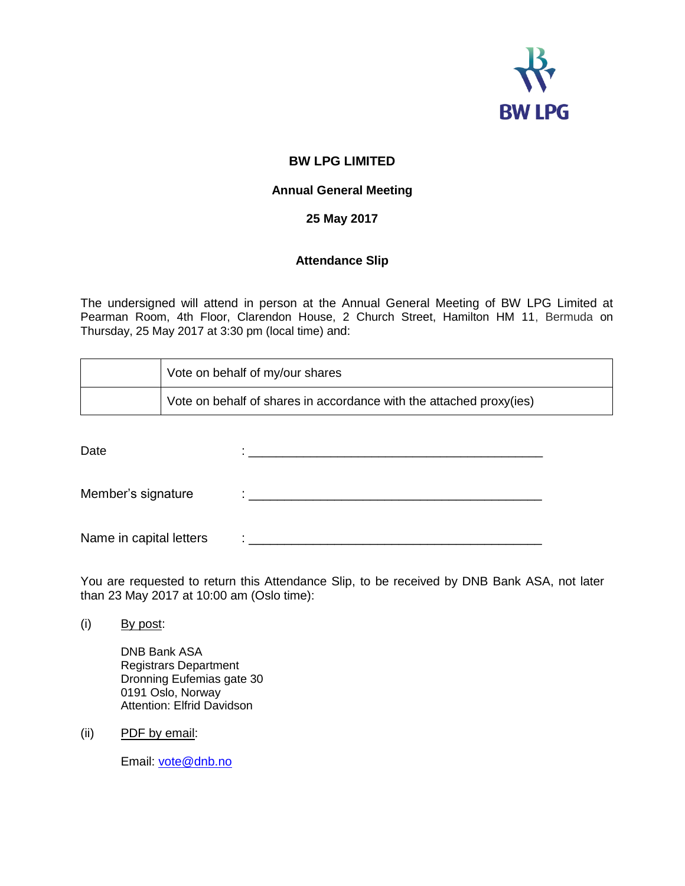

# **BW LPG LIMITED**

### **Annual General Meeting**

## **25 May 2017**

## **Attendance Slip**

The undersigned will attend in person at the Annual General Meeting of BW LPG Limited at Pearman Room, 4th Floor, Clarendon House, 2 Church Street, Hamilton HM 11, Bermuda on Thursday, 25 May 2017 at 3:30 pm (local time) and:

| Vote on behalf of my/our shares                                     |
|---------------------------------------------------------------------|
| Vote on behalf of shares in accordance with the attached proxy(ies) |

Date : \_\_\_\_\_\_\_\_\_\_\_\_\_\_\_\_\_\_\_\_\_\_\_\_\_\_\_\_\_\_\_\_\_\_\_\_\_\_\_\_\_\_\_

Member's signature  $\qquad : \_ \_ \_ \_ \_ \_ \_ \_ \_ \_$ 

Name in capital letters  $\qquad : \_ \_ \_ \_ \_ \_ \_$ 

You are requested to return this Attendance Slip, to be received by DNB Bank ASA, not later than 23 May 2017 at 10:00 am (Oslo time):

(i) By post:

DNB Bank ASA Registrars Department Dronning Eufemias gate 30 0191 Oslo, Norway Attention: Elfrid Davidson

(ii) PDF by email:

Email: [vote@dnb.no](mailto:vote@dnb.no)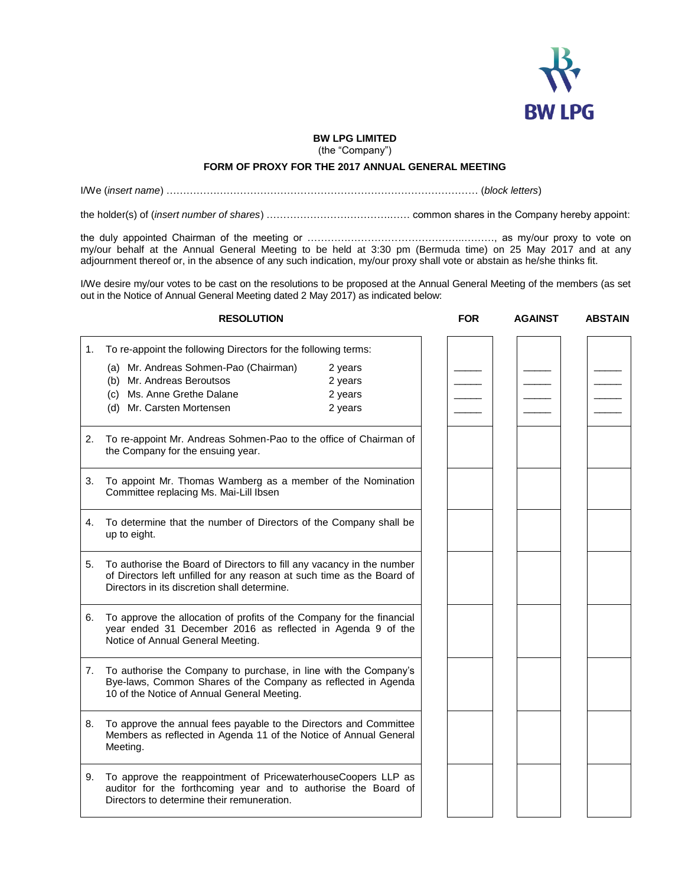

#### **BW LPG LIMITED**

(the "Company")

#### **FORM OF PROXY FOR THE 2017 ANNUAL GENERAL MEETING**

I/We (*insert name*) ………………………………………………………………………………… (*block letters*)

the holder(s) of (*insert number of shares*) ……………………………….…… common shares in the Company hereby appoint:

the duly appointed Chairman of the meeting or ………………………………………..………, as my/our proxy to vote on my/our behalf at the Annual General Meeting to be held at 3:30 pm (Bermuda time) on 25 May 2017 and at any adjournment thereof or, in the absence of any such indication, my/our proxy shall vote or abstain as he/she thinks fit.

I/We desire my/our votes to be cast on the resolutions to be proposed at the Annual General Meeting of the members (as set out in the Notice of Annual General Meeting dated 2 May 2017) as indicated below:

| <b>RESOLUTION</b>                                                                                                                                                                   |                                                                                                                                                                                                    |         | <b>FOR</b> | <b>AGAINST</b> | <b>ABSTAIN</b> |
|-------------------------------------------------------------------------------------------------------------------------------------------------------------------------------------|----------------------------------------------------------------------------------------------------------------------------------------------------------------------------------------------------|---------|------------|----------------|----------------|
| 1.                                                                                                                                                                                  | To re-appoint the following Directors for the following terms:                                                                                                                                     |         |            |                |                |
|                                                                                                                                                                                     | (a) Mr. Andreas Sohmen-Pao (Chairman)                                                                                                                                                              | 2 years |            |                |                |
|                                                                                                                                                                                     | (b) Mr. Andreas Beroutsos                                                                                                                                                                          | 2 years |            |                |                |
|                                                                                                                                                                                     | (c) Ms. Anne Grethe Dalane                                                                                                                                                                         | 2 years |            |                |                |
|                                                                                                                                                                                     | (d) Mr. Carsten Mortensen                                                                                                                                                                          | 2 years |            |                |                |
| 2.                                                                                                                                                                                  | To re-appoint Mr. Andreas Sohmen-Pao to the office of Chairman of<br>the Company for the ensuing year.                                                                                             |         |            |                |                |
| 3.                                                                                                                                                                                  | To appoint Mr. Thomas Wamberg as a member of the Nomination<br>Committee replacing Ms. Mai-Lill Ibsen                                                                                              |         |            |                |                |
| 4.                                                                                                                                                                                  | To determine that the number of Directors of the Company shall be<br>up to eight.                                                                                                                  |         |            |                |                |
|                                                                                                                                                                                     | 5. To authorise the Board of Directors to fill any vacancy in the number<br>of Directors left unfilled for any reason at such time as the Board of<br>Directors in its discretion shall determine. |         |            |                |                |
| 6.                                                                                                                                                                                  | To approve the allocation of profits of the Company for the financial<br>year ended 31 December 2016 as reflected in Agenda 9 of the<br>Notice of Annual General Meeting.                          |         |            |                |                |
| 7.                                                                                                                                                                                  | To authorise the Company to purchase, in line with the Company's<br>Bye-laws, Common Shares of the Company as reflected in Agenda<br>10 of the Notice of Annual General Meeting.                   |         |            |                |                |
| 8.                                                                                                                                                                                  | To approve the annual fees payable to the Directors and Committee<br>Members as reflected in Agenda 11 of the Notice of Annual General<br>Meeting.                                                 |         |            |                |                |
| To approve the reappointment of PricewaterhouseCoopers LLP as<br>9.<br>auditor for the forthcoming year and to authorise the Board of<br>Directors to determine their remuneration. |                                                                                                                                                                                                    |         |            |                |                |